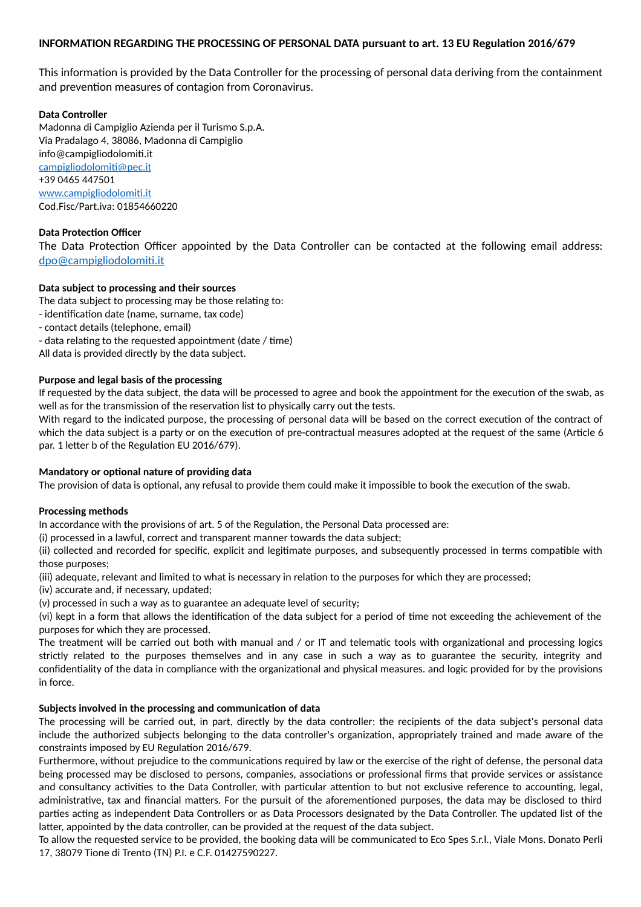# **INFORMATION REGARDING THE PROCESSING OF PERSONAL DATA pursuant to art. 13 EU Regulation 2016/679**

This information is provided by the Data Controller for the processing of personal data deriving from the containment and prevention measures of contagion from Coronavirus.

### **Data Controller**

Madonna di Campiglio Azienda per il Turismo S.p.A. Via Pradalago 4, 38086, Madonna di Campiglio info@campigliodolomiti.it [campigliodolomiti@pec.it](mailto:campigliodolomiti@pec.it) +39 0465 447501 [www.campigliodolomiti.it](http://www.campigliodolomiti.it/) Cod.Fisc/Part.iva: 01854660220

# **Data Protection Officer**

The Data Protection Officer appointed by the Data Controller can be contacted at the following email address: [dpo@campigliodolomiti.it](mailto:dpo@campigliodolomiti.it)

## **Data subject to processing and their sources**

The data subject to processing may be those relating to:

- identification date (name, surname, tax code)
- contact details (telephone, email)
- data relating to the requested appointment (date / time)

All data is provided directly by the data subject.

#### **Purpose and legal basis of the processing**

If requested by the data subject, the data will be processed to agree and book the appointment for the execution of the swab, as well as for the transmission of the reservation list to physically carry out the tests.

With regard to the indicated purpose, the processing of personal data will be based on the correct execution of the contract of which the data subject is a party or on the execution of pre-contractual measures adopted at the request of the same (Article 6 par. 1 letter b of the Regulation EU 2016/679).

#### **Mandatory or optional nature of providing data**

The provision of data is optional, any refusal to provide them could make it impossible to book the execution of the swab.

#### **Processing methods**

In accordance with the provisions of art. 5 of the Regulation, the Personal Data processed are:

(i) processed in a lawful, correct and transparent manner towards the data subject;

(ii) collected and recorded for specific, explicit and legitimate purposes, and subsequently processed in terms compatible with those purposes;

(iii) adequate, relevant and limited to what is necessary in relation to the purposes for which they are processed;

(iv) accurate and, if necessary, updated;

(v) processed in such a way as to guarantee an adequate level of security;

(vi) kept in a form that allows the identification of the data subject for a period of time not exceeding the achievement of the purposes for which they are processed.

The treatment will be carried out both with manual and / or IT and telematic tools with organizational and processing logics strictly related to the purposes themselves and in any case in such a way as to guarantee the security, integrity and confidentiality of the data in compliance with the organizational and physical measures. and logic provided for by the provisions in force.

#### **Subjects involved in the processing and communication of data**

The processing will be carried out, in part, directly by the data controller: the recipients of the data subject's personal data include the authorized subjects belonging to the data controller's organization, appropriately trained and made aware of the constraints imposed by EU Regulation 2016/679.

Furthermore, without prejudice to the communications required by law or the exercise of the right of defense, the personal data being processed may be disclosed to persons, companies, associations or professional firms that provide services or assistance and consultancy activities to the Data Controller, with particular attention to but not exclusive reference to accounting, legal, administrative, tax and financial matters. For the pursuit of the aforementioned purposes, the data may be disclosed to third parties acting as independent Data Controllers or as Data Processors designated by the Data Controller. The updated list of the latter, appointed by the data controller, can be provided at the request of the data subject.

To allow the requested service to be provided, the booking data will be communicated to Eco Spes S.r.l., Viale Mons. Donato Perli 17, 38079 Tione di Trento (TN) P.I. e C.F. 01427590227.